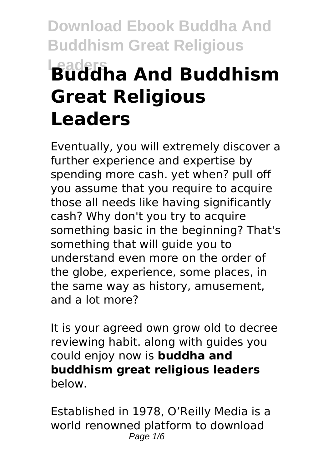# **Download Ebook Buddha And Buddhism Great Religious Leaders Buddha And Buddhism Great Religious Leaders**

Eventually, you will extremely discover a further experience and expertise by spending more cash. yet when? pull off you assume that you require to acquire those all needs like having significantly cash? Why don't you try to acquire something basic in the beginning? That's something that will guide you to understand even more on the order of the globe, experience, some places, in the same way as history, amusement, and a lot more?

It is your agreed own grow old to decree reviewing habit. along with guides you could enjoy now is **buddha and buddhism great religious leaders** below.

Established in 1978, O'Reilly Media is a world renowned platform to download Page  $1/6$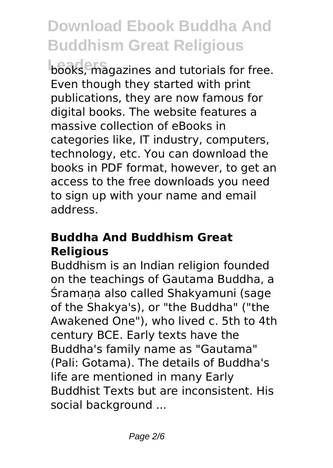**Leaders** books, magazines and tutorials for free. Even though they started with print publications, they are now famous for digital books. The website features a massive collection of eBooks in categories like, IT industry, computers, technology, etc. You can download the books in PDF format, however, to get an access to the free downloads you need to sign up with your name and email address.

#### **Buddha And Buddhism Great Religious**

Buddhism is an Indian religion founded on the teachings of Gautama Buddha, a Śramaṇa also called Shakyamuni (sage of the Shakya's), or "the Buddha" ("the Awakened One"), who lived c. 5th to 4th century BCE. Early texts have the Buddha's family name as "Gautama" (Pali: Gotama). The details of Buddha's life are mentioned in many Early Buddhist Texts but are inconsistent. His social background ...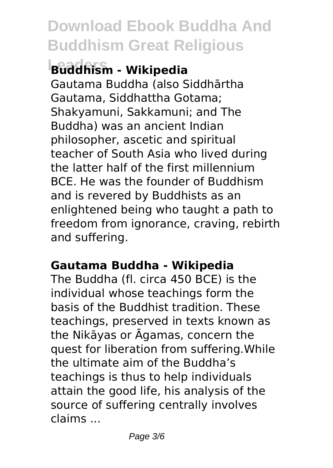### **Leaders Buddhism - Wikipedia**

Gautama Buddha (also Siddhārtha Gautama, Siddhattha Gotama; Shakyamuni, Sakkamuni; and The Buddha) was an ancient Indian philosopher, ascetic and spiritual teacher of South Asia who lived during the latter half of the first millennium BCE. He was the founder of Buddhism and is revered by Buddhists as an enlightened being who taught a path to freedom from ignorance, craving, rebirth and suffering.

#### **Gautama Buddha - Wikipedia**

The Buddha (fl. circa 450 BCE) is the individual whose teachings form the basis of the Buddhist tradition. These teachings, preserved in texts known as the Nikāyas or Āgamas, concern the quest for liberation from suffering.While the ultimate aim of the Buddha's teachings is thus to help individuals attain the good life, his analysis of the source of suffering centrally involves claims ...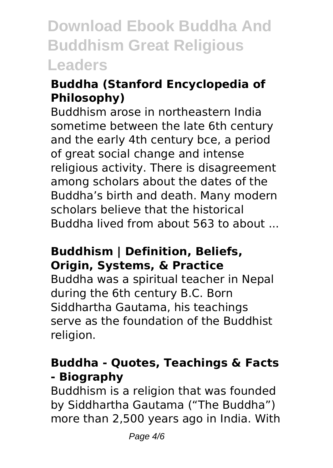#### **Buddha (Stanford Encyclopedia of Philosophy)**

Buddhism arose in northeastern India sometime between the late 6th century and the early 4th century bce, a period of great social change and intense religious activity. There is disagreement among scholars about the dates of the Buddha's birth and death. Many modern scholars believe that the historical Buddha lived from about 563 to about ...

#### **Buddhism | Definition, Beliefs, Origin, Systems, & Practice**

Buddha was a spiritual teacher in Nepal during the 6th century B.C. Born Siddhartha Gautama, his teachings serve as the foundation of the Buddhist religion.

#### **Buddha - Quotes, Teachings & Facts - Biography**

Buddhism is a religion that was founded by Siddhartha Gautama ("The Buddha") more than 2,500 years ago in India. With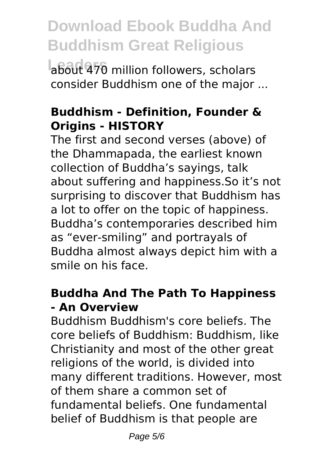**Leaders** about 470 million followers, scholars consider Buddhism one of the major ...

#### **Buddhism - Definition, Founder & Origins - HISTORY**

The first and second verses (above) of the Dhammapada, the earliest known collection of Buddha's sayings, talk about suffering and happiness.So it's not surprising to discover that Buddhism has a lot to offer on the topic of happiness. Buddha's contemporaries described him as "ever-smiling" and portrayals of Buddha almost always depict him with a smile on his face.

#### **Buddha And The Path To Happiness - An Overview**

Buddhism Buddhism's core beliefs. The core beliefs of Buddhism: Buddhism, like Christianity and most of the other great religions of the world, is divided into many different traditions. However, most of them share a common set of fundamental beliefs. One fundamental belief of Buddhism is that people are